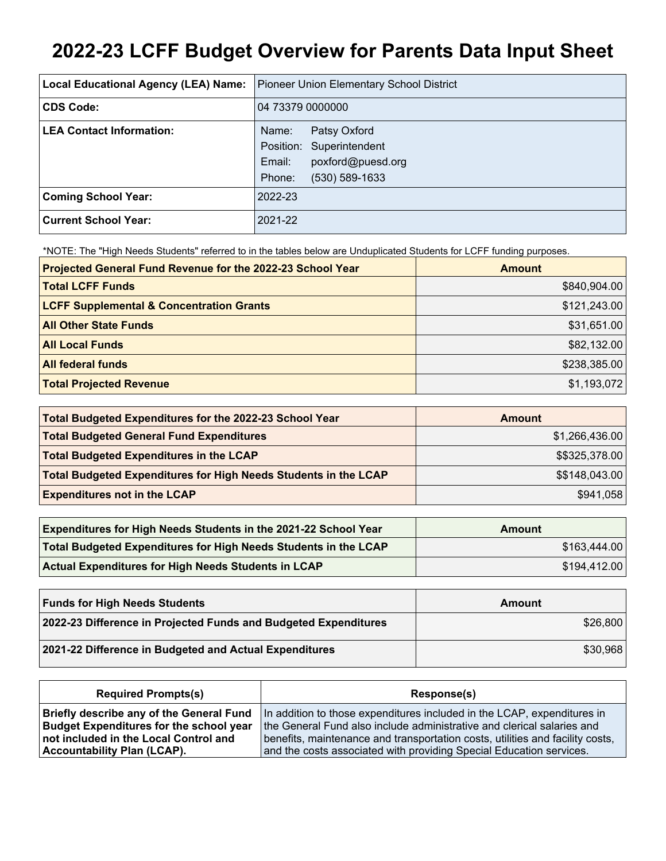# **2022-23 LCFF Budget Overview for Parents Data Input Sheet**

| Local Educational Agency (LEA) Name: | Pioneer Union Elementary School District |
|--------------------------------------|------------------------------------------|
| <b>CDS Code:</b>                     | 04 73379 0000000                         |
| <b>LEA Contact Information:</b>      | Patsy Oxford<br>Name:                    |
|                                      | Position: Superintendent                 |
|                                      | poxford@puesd.org<br>Email:              |
|                                      | Phone:<br>$(530) 589 - 1633$             |
| <b>Coming School Year:</b>           | 2022-23                                  |
| <b>Current School Year:</b>          | 2021-22                                  |

\*NOTE: The "High Needs Students" referred to in the tables below are Unduplicated Students for LCFF funding purposes.

| Projected General Fund Revenue for the 2022-23 School Year | <b>Amount</b> |
|------------------------------------------------------------|---------------|
| <b>Total LCFF Funds</b>                                    | \$840,904.00  |
| <b>LCFF Supplemental &amp; Concentration Grants</b>        | \$121,243.00  |
| <b>All Other State Funds</b>                               | \$31,651.00   |
| <b>All Local Funds</b>                                     | \$82,132.00   |
| <b>All federal funds</b>                                   | \$238,385.00  |
| <b>Total Projected Revenue</b>                             | \$1,193,072   |

| Total Budgeted Expenditures for the 2022-23 School Year         | Amount         |
|-----------------------------------------------------------------|----------------|
| <b>Total Budgeted General Fund Expenditures</b>                 | \$1,266,436.00 |
| <b>Total Budgeted Expenditures in the LCAP</b>                  | \$\$325,378.00 |
| Total Budgeted Expenditures for High Needs Students in the LCAP | \$\$148,043.00 |
| <b>Expenditures not in the LCAP</b>                             | \$941,058      |

| <b>Expenditures for High Needs Students in the 2021-22 School Year</b> | Amount       |
|------------------------------------------------------------------------|--------------|
| Total Budgeted Expenditures for High Needs Students in the LCAP        | \$163,444.00 |
| <b>Actual Expenditures for High Needs Students in LCAP</b>             | \$194,412.00 |

| <b>Funds for High Needs Students</b>                            | Amount   |
|-----------------------------------------------------------------|----------|
| 2022-23 Difference in Projected Funds and Budgeted Expenditures | \$26,800 |
| 2021-22 Difference in Budgeted and Actual Expenditures          | \$30,968 |

| <b>Required Prompts(s)</b>                     | Response(s)                                                                   |
|------------------------------------------------|-------------------------------------------------------------------------------|
| Briefly describe any of the General Fund       | In addition to those expenditures included in the LCAP, expenditures in       |
| <b>Budget Expenditures for the school year</b> | the General Fund also include administrative and clerical salaries and        |
| not included in the Local Control and          | benefits, maintenance and transportation costs, utilities and facility costs, |
| <b>Accountability Plan (LCAP).</b>             | and the costs associated with providing Special Education services.           |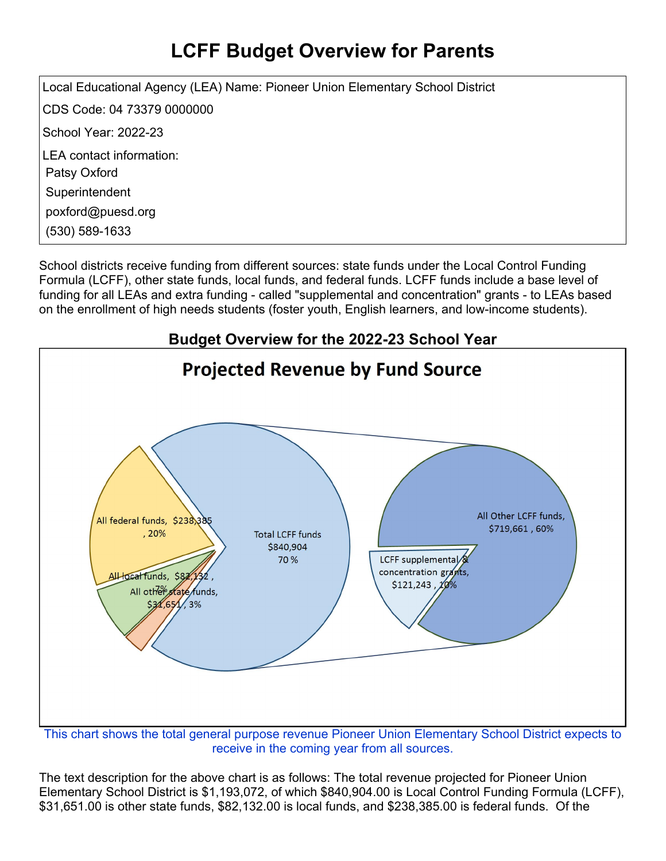## **LCFF Budget Overview for Parents**

Local Educational Agency (LEA) Name: Pioneer Union Elementary School District CDS Code: 04 73379 0000000 School Year: 2022-23 LEA contact information: Patsy Oxford **Superintendent** poxford@puesd.org (530) 589-1633

School districts receive funding from different sources: state funds under the Local Control Funding Formula (LCFF), other state funds, local funds, and federal funds. LCFF funds include a base level of funding for all LEAs and extra funding - called "supplemental and concentration" grants - to LEAs based on the enrollment of high needs students (foster youth, English learners, and low-income students).



receive in the coming year from all sources.

The text description for the above chart is as follows: The total revenue projected for Pioneer Union Elementary School District is \$1,193,072, of which \$840,904.00 is Local Control Funding Formula (LCFF), \$31,651.00 is other state funds, \$82,132.00 is local funds, and \$238,385.00 is federal funds. Of the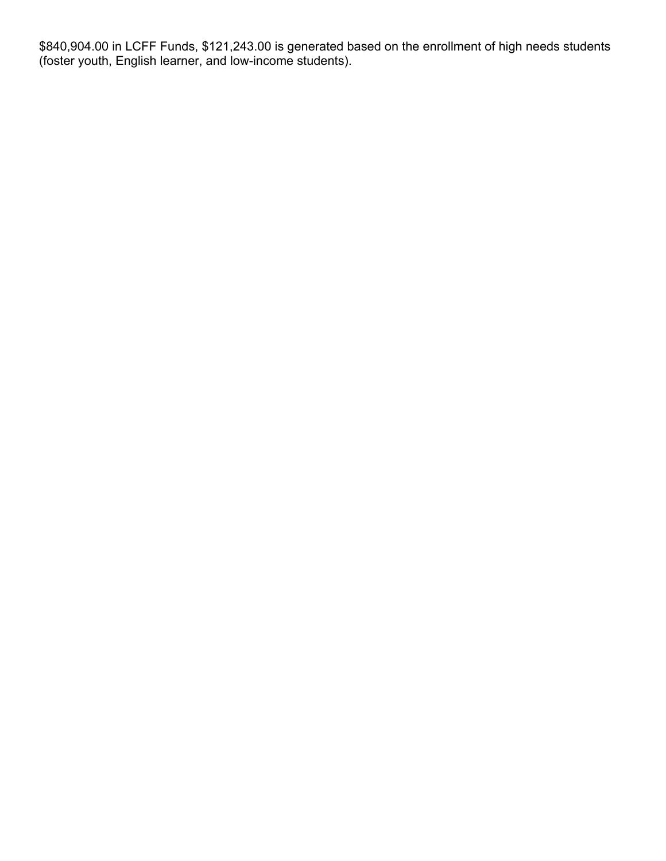\$840,904.00 in LCFF Funds, \$121,243.00 is generated based on the enrollment of high needs students (foster youth, English learner, and low-income students).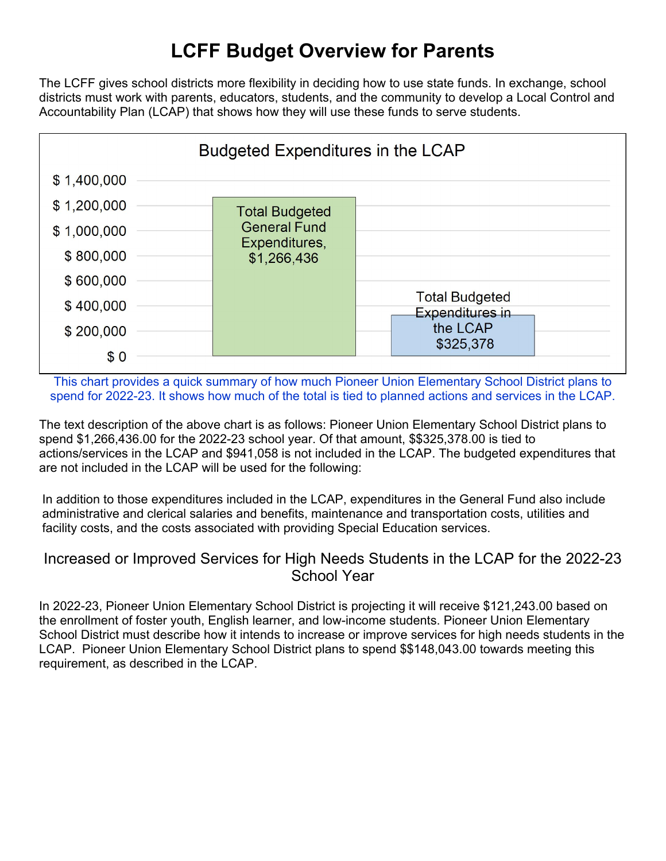### **LCFF Budget Overview for Parents**

The LCFF gives school districts more flexibility in deciding how to use state funds. In exchange, school districts must work with parents, educators, students, and the community to develop a Local Control and Accountability Plan (LCAP) that shows how they will use these funds to serve students.



This chart provides a quick summary of how much Pioneer Union Elementary School District plans to spend for 2022-23. It shows how much of the total is tied to planned actions and services in the LCAP.

The text description of the above chart is as follows: Pioneer Union Elementary School District plans to spend \$1,266,436.00 for the 2022-23 school year. Of that amount, \$\$325,378.00 is tied to actions/services in the LCAP and \$941,058 is not included in the LCAP. The budgeted expenditures that are not included in the LCAP will be used for the following:

In addition to those expenditures included in the LCAP, expenditures in the General Fund also include administrative and clerical salaries and benefits, maintenance and transportation costs, utilities and facility costs, and the costs associated with providing Special Education services.

#### Increased or Improved Services for High Needs Students in the LCAP for the 2022-23 School Year

In 2022-23, Pioneer Union Elementary School District is projecting it will receive \$121,243.00 based on the enrollment of foster youth, English learner, and low-income students. Pioneer Union Elementary School District must describe how it intends to increase or improve services for high needs students in the LCAP. Pioneer Union Elementary School District plans to spend \$\$148,043.00 towards meeting this requirement, as described in the LCAP.